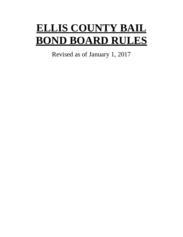# **ELLIS COUNTY BAIL BOND BOARD RULES**

Revised as of January 1, 2017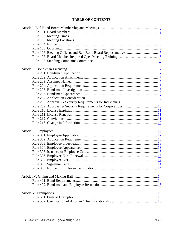# **TABLE OF CONTENTS**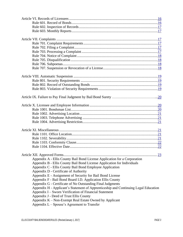|                                                                                     | 23 |
|-------------------------------------------------------------------------------------|----|
| Appendix A - Ellis County Bail Bond License Application for a Corporation           |    |
| Appendix B - Ellis County Bail Bond License Application for Individuals             |    |
| Appendix C - Ellis County Bail Bond Employee Application                            |    |
| Appendix D - Certificate of Authority                                               |    |
| Appendix E - Assignment of Security for Bail Bond License                           |    |
| Appendix F - Bail Bond Board I.D. Application Ellis County                          |    |
| Appendix G - Certificate of No Outstanding Final Judgments                          |    |
| Appendix H - Applicant's Statement of Apprenticeship and Continuing Legal Education |    |
| Appendix I – Sworn Verification of Financial Statement                              |    |
| Appendix J - Deed of Trust Ellis County                                             |    |
| Appendix K - Non-Exempt Real Estate Owned by Applicant                              |    |
| Appendix $L -$ Spouse's Agreement to Transfer                                       |    |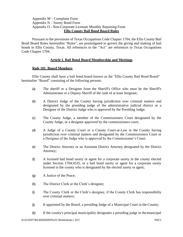# Appendix M – Complaint Form Appendix N – Surety Bond Form Appendix O - Non-Corporate Licensee Monthly Reporting Form **Ellis County Bail Bond Board Rules**

Pursuant to the provisions of Texas Occupations Code Chapter 1704, the Ellis County Bail Bond Board Rules hereinafter "Rules", are promulgated to govern the giving and making of bail bonds in Ellis County, Texas. All references to the "Act" are references to Texas Occupations Code Chapter 1704.

## **Article I. Bail Bond Board Membership and Meetings**

#### <span id="page-3-0"></span>**Rule 101. Board Members**

<span id="page-3-1"></span>Ellis County shall have a bail bond board known as the "Ellis County Bail Bond Board" hereinafter "Board" consisting of the following persons:

- (a) The sheriff or a Designee from the Sheriff's Office who must be the Sheriff's Administrator or a Deputy Sheriff of the rank of at least Sergeant;
- (b) A District Judge of the County having jurisdiction over criminal matters and designated by the presiding judge of the administrative judicial district or a Designee of the District Judge who is approved by the Presiding Judge;
- (c) The County Judge, a member of the Commissioners Court designated by the County Judge, or a designee approved by the commissioners court;
- (d) A Judge of a County Court or a County Court-at-Law in the County having jurisdiction over criminal matters and designated by the Commissioners Court or a Designee of the Judge who is approved by the Commissioner's Court;
- (e) The District Attorney or an Assistant District Attorney designated by the District Attorney;
- (f) A licensed bail bond surety or agent for a corporate surety in the county elected under Section 1704.0535, or a bail bond surety or agent for a corporate surety licensed in the county who is designated by the elected surety or agent;
- (g) A Justice of the Peace;
- (h) The District Clerk or the Clerk's designee;
- (i) The County Clerk or the Clerk's designee, if the County Clerk has responsibility over criminal matters;
- (j) If appointed by the Board, a presiding Judge of a Municipal Court in the County;
- (k) If the county's principal municipality designates a presiding judge in themunicipal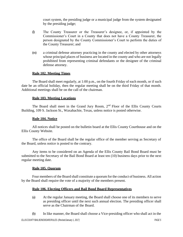court system, the presiding judge or a municipal judge from the system designated by the presiding judge;

- (l) The County Treasurer or the Treasurer's designee, or, if appointed by the Commissioner's Court in a County that does not have a County Treasurer, the person designated by the County Commissioner's Court to perform the duties of the County Treasurer; and
- (m) a criminal defense attorney practicing in the county and elected by other attorneys whose principal places of business are located in the county and who are not legally prohibited from representing criminal defendants or the designee of the criminal defense attorney.

## **Rule 102. Meeting Times**

<span id="page-4-0"></span>The Board shall meet regularly, at 1:00 p.m., on the fourth Friday of each month, or if such date be an official holiday, then the regular meeting shall be on the third Friday of that month. Additional meetings shall be on the call of the chairman.

## **Rule 103. Meeting Locations**

<span id="page-4-1"></span>The Board shall meet in the Grand Jury Room,  $2<sup>nd</sup>$  Floor of the Ellis County Courts Building, 109 S. Jackson St., Waxahachie, Texas, unless notice is posted otherwise.

## **Rule 104. Notice**

<span id="page-4-2"></span>All notices shall be posted on the bulletin board at the Ellis County Courthouse and on the Ellis County Website.

The office of the Board shall be the regular office of the member serving as Secretary of the Board, unless notice is posted to the contrary.

Any items to be considered on an Agenda of the Ellis County Bail Bond Board must be submitted to the Secretary of the Bail Bond Board at least ten (10) business days prior to the next regular meeting date.

## **Rule 105. Quorum**

<span id="page-4-4"></span><span id="page-4-3"></span>Four members of the Board shall constitute a quorum for the conduct of business. All action by the Board shall require the vote of a majority of the members present.

## **Rule 106. Electing Officers and Bail Bond Board Representatives**

- (a) At the regular January meeting, the Board shall choose one of its members to serve as presiding officer until the next such annual election. The presiding officer shall serve as the Chairman of the Board.
- (b) In like manner, the Board shall choose a Vice-presiding officer who shall act in the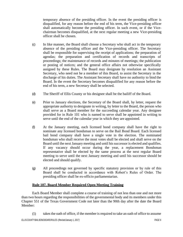temporary absence of the presiding officer. In the event the presiding officer is disqualified, for any reason before the end of his term, the Vice-presiding officer shall automatically become the presiding officer. In such event, or if the Vicechairman becomes disqualified, at the next regular meeting a new Vice-presiding officer shall be chosen.

- (c) In like manner, the Board shall choose a Secretary who shall act in the temporary absence of the presiding officer and the Vice-presiding officer. The Secretary shall be responsible for supervising the receipt of applications; the preparation of agendas; the preparation and certification of records and transcripts of proceedings; the maintenance of records and minutes of meetings; the publication or posting of notices; and the general office affairs not otherwise specifically assigned by these Rules. The Board may designate by resolution an Assistant Secretary, who need not be a member of this Board, to assist the Secretary in the discharge of his duties. The Assistant Secretary shall have no authority to bind the Board. In the event the Secretary becomes disqualified for any reason before the end of his term, a new Secretary shall be selected.
- (d) The Sheriff of Ellis County or his designee shall be the bailiff of the Board.
- (e) Prior to January elections, the Secretary of the Board shall, by letter, request the appropriate authority to designate in writing, by letter to the Board, the person who shall serve as a Board member for the succeeding calendar year. Any designee provided for in Rule 101 who is named to serve shall be appointed in writing to serve until the end of the calendar year in which they are appointed.
- (f) At the January meeting, each licensed bond company shall have the right to nominate any licensed bondsman to serve on the Bail Bond Board. Each licensed bail bond company shall have a single vote in the election. The nominated bondsman who shall receive the most votes shall be elected and shall serve on the Board until the next January meeting and until hissuccessor is elected and qualifies. If any vacancy should occur during the year, a replacement Bondsman representative shall be elected by the same process at the next regular Board meeting to serve until the next January meeting and until his successor should be elected and should qualify.
- (g) All proceedings not governed by specific statutory provision or by rule of this Board shall be conducted in accordance with Robert's Rules of Order. The presiding officer shall be ex-officio parliamentarian.

# **Rule 107. Board Member Required Open Meeting Training**

<span id="page-5-0"></span>Each Board Member shall complete a course of training of not less than one and not more than two hours regarding the responsibilities of the governmental body and its members under this Chapter 551 of the Texas Government Code not later than the 90th day after the date the Board Member:

(1) takes the oath of office, if the member is required to take an oath of office to assume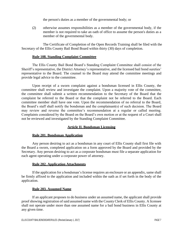the person's duties as a member of the governmental body; or

(2) otherwise assumes responsibilities as a member of the governmental body, if the member is not required to take an oath of office to assume the person's duties as a member of the governmental body.

The Certificate of Completion of the Open Records Training shall be filed with the Secretary of the Ellis County Bail Bond Board within thirty (30) days of completion.

## **Rule 108. Standing Complaint Committee**

The Ellis County Bail Bond Board's Standing Complaint Committee shall consist of the Sheriff's representative, the District Attorney's representative, and the licensed bail bond sureties' representative to the Board. The counsel to the Board may attend the committee meetings and provide legal advice to the committee.

Upon receipt of a sworn complaint against a bondsman licensed in Ellis County, the committee shall review and investigate the complaint. Upon a majority vote of the committee, the committee shall submit a written recommendation to the Secretary of the Board that the complaint be referred to the Board or that the complaint not be referred to the Board. Each committee member shall have one vote. Upon the recommendation of no referral to the Board, the Board's staff shall notify the bondsman and the complainant(s) of such decision. The Board may review and reverse the committee's recommendation at a regular or called meeting. Complaints considered by the Board on the Board's own motion or at the request of a Court shall not be reviewed and investigated by the Standing Complaint Committee.

# **Article II. Bondsman Licensing**

# <span id="page-6-0"></span>**Rule 201. Bondsman Application**

<span id="page-6-1"></span>Any person desiring to act as a bondsman in any court of Ellis County shall first file with the Board a sworn, completed application on a form approved by the Board and provided by the Secretary. Any person desiring to act as a corporate bondsman must file a separate application for each agent operating under a corporate power of attorney.

# **Rule 202. Application Attachments**

<span id="page-6-2"></span>If the application for a bondsman's license requires an enclosure or an appendix, same shall be firmly affixed to the application and included within the oath as if set forth in the body of the application.

## **Rule 203. Assumed Name**

<span id="page-6-3"></span>If an applicant proposes to do business under an assumed name, the applicant shall provide proofshowing registration of said assumed name with the County Clerk of Ellis County. A licensee shall not operate under more than one assumed name for a bail bond business in Ellis County at any given time.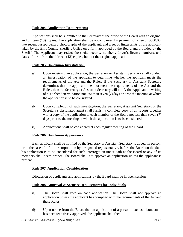# **Rule 204. Application Requirements**

<span id="page-7-0"></span>Applications shall be submitted to the Secretary at the office of the Board with an original and thirteen (13) copies. The application shall be accompanied by payment of a fee of \$500.00, two recent passport-sized photographs of the applicant, and a set of fingerprints of the applicant taken by the Ellis County Sheriff's Office on a form approved by the Board and provided by the Sheriff. The Applicant may redact the social security numbers, driver's license numbers, and dates of birth from the thirteen (13) copies, but not the original application.

## <span id="page-7-1"></span>**Rule 205. Bondsman Investigation**

- (a) Upon receiving an application, the Secretary or Assistant Secretary shall conduct an investigation of the applicant to determine whether the applicant meets the requirements of the Act and the Rules. If the Secretary or Assistant Secretary determines that the applicant does not meet the requirements of the Act and the Rules, then the Secretary or Assistant Secretary will notify the Applicant in writing of his or her determination not less than seven (7) days prior to the meeting at which the application is to be considered.
- (b) Upon completion of such investigation, the Secretary, Assistant Secretary, or the Secretary=s designated agent shall furnish a complete copy of all reports together with a copy of the application to each member of the Board not less than seven (7) days prior to the meeting at which the application is to be considered.
- (c) Applications shall be considered at each regular meeting of the Board.

## **Rule 206. Bondsman Appearance**

<span id="page-7-2"></span>Each applicant shall be notified by the Secretary or Assistant Secretary to appear in person, or in the case of a firm or corporation by designated representative, before the Board on the date his application is to be considered for such interrogation under oath as the Board or any of its members shall deem proper. The Board shall not approve an application unless the applicant is present.

## <span id="page-7-3"></span>**Rule 207. Application Consideration**

Discussion of applicants and applications by the Board shall be in open session.

## <span id="page-7-4"></span>**Rule 208. Approval & Security Requirements for Individuals**

- (a) The Board shall vote on each application. The Board shall not approve an application unless the applicant has complied with the requirements of the Act and these Rules.
- (b) Upon notice from the Board that an application of a person to act as a bondsman has been tentatively approved, the applicant shall then: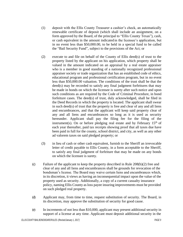- (1) deposit with the Ellis County Treasurer a cashier's check, an automatically renewable certificate of deposit (which shall include an assignment, on a form approved by the Board, of the principal to "Ellis County Texas"), cash, or cash equivalent in the amount indicated in the licensee's application, but in no event less than \$50,000.00, to be held in a special fund to be called the "Bail Security Fund", subject to the provisions of the Act; or
- (2) execute to and file on behalf of the County of Ellis deed(s) of trust to the property listed by the applicant on his application, which property shall be valued in the amount indicated on an appraisal by a real estate appraiser who is a member in good standing of a nationally recognized professional appraiser society or trade organization that has an established code of ethics, educational program and professional certification program, but in no event less than \$50,000.00 valuation. The conditions of the trust shall be that the deed(s) may be recorded to satisfy any final judgment forfeitures that may be made in bonds on which the licensee is surety after such notice and upon such conditions as are required by the Code of Criminal Procedure, in bond forfeiture cases. The deed(s) of trust, duly acknowledged, shall be filed in the Deed Records in which the property is located. The applicant shall swear in such deed(s) of trust that the property is free and clear of any and all liens and encumbrances, and that the applicant will keep said property clear of any and all liens and encumbrances so long as it is used as security hereunder. Applicant shall pay the filing fee for the filing of the instrument(s). On or before pledging real estate and by February  $15<sup>th</sup>$  of each year thereafter, paid tax receipts showing proof that all taxes due have been paid in full for the county, school district, and city, as well as any other ad valorem taxes on said pledged property; or
- (3) in lieu of cash or other cash equivalent, furnish to the Sheriff an irrevocable letter of credit payable to Ellis County, in a form acceptable to the Sheriff, to satisfy any final judgment of forfeiture that may be made on any bonds on which the licensee is surety.
- (c) Failure of the applicant to keep the property described in Rule 208(b)(2) free and clear of any and all liens and encumbrances shall be grounds for revocation of the bondsman's license. The Board may waive certain liens and encumbrances which, in its discretion, it views as having an inconsequential impact upon the value of the property used as security. Additionally, a copy of a current casualty insurance policy, naming Ellis County as loss payee insuring improvements must be provided on such pledged real property.
- (d) Applicant may, from time to time, request substitution of security. The Board, in its discretion, may approve the substitution of security for good cause.
- (e) In increments of not less than \$10,000, applicant may present additional security in support of a license at any time. Applicant must deposit additional security in the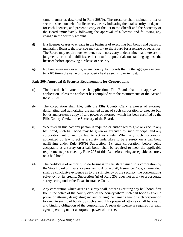same manner as described in Rule 208(b). The treasurer shall maintain a list of securities held on behalf of licensees, clearly indicating the total security on deposit for each licensee, and present a copy of the list to the Sheriff and the Secretary of the Board immediately following the approval of a license and following any change in the security amount.

- (f) If a licensee ceases to engage in the business of executing bail bonds and ceasesto maintain a license, the licensee may apply to the Board for a release of securities. The Board may require such evidence as is necessary to determine that there are no judgments or bond liabilities, either actual or potential, outstanding against the licensee before approving a release of security.
- (g) No bondsman may execute, in any county, bail bonds that in the aggregate exceed ten (10) times the value of the property held as security or in trust.

## <span id="page-9-0"></span>**Rule 209. Approval & Security Requirements for Corporations**

- (a) The board shall vote on each application. The Board shall not approve an application unless the applicant has complied with the requirements of the Act and these Rules.
- (b) The corporation shall file, with the Ellis County Clerk, a power of attorney, designating and authorizing the named agent of such corporation to execute bail bonds and present a copy of said power of attorney, which has been certified by the Ellis County Clerk, to the Secretary of the Board.
- (c) Wherever in this Act any person is required or authorized to give or execute any bail bond, such bail bond may be given or executed by such principal and any corporation authorized by law to act as surety. When any such corporation authorized by law to act as a surety undertakes to be a surety on a bail bond qualifying under Rule 208(b) Subsection (1), such corporation, before being acceptable as a surety on a bail bond, shall be required to meet the applicable requirements prescribed by Rule 208 of this Act before being acceptable as surety on a bail bond;
- (d) The certificate of authority to do business in this state issued to a corporation by the State Board of Insurance pursuant to Article 8.20, Insurance Code, as amended, shall be conclusive evidence as to the sufficiency of the security, the corporation=s solvency, or its credits. Subsection (g) of Rule 208 does not apply to a corporate surety acting under the Texas insurance Code.
- (e) Any corporation which acts as a surety shall, before executing any bail bond, first file in the office of the county clerk of the county where such bail bond is given a power of attorney designating and authorizing the named agent of such corporation to execute such bail bonds by such agent. This power of attorney shall be a valid and binding obligation of the corporation. A separate license is required for each agent operating under a corporate power of attorney.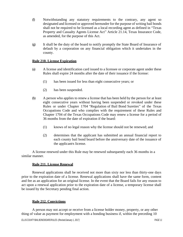- (f) Notwithstanding any statutory requirements to the contrary, any agent so designated and licensed or approved hereunder for the purpose of writing bail bonds shall not be required to be licensed as a local recording agent as defined in "Texas Property and Casualty Agents License Act" Article 21.14, Texas Insurance Code, as amended, for the purpose of this Act.
- (g) It shall be the duty of the board to notify promptly the State Board of Insurance of default by a corporation on any financial obligation which it undertakes in the county.

## <span id="page-10-0"></span>**Rule 210. License Expiration**

- (a) A license and identification card issued to a licensee or corporate agent under these Rules shall expire 24 months after the date of their issuance if the license:
	- (1) has been issued for less than eight consecutive years; or
	- (2) has been suspended.
- (b) A person who applies to renew a license that has been held by the person for at least eight consecutive years without having been suspended or revoked under these Rules or under Chapter 1704 "Regulation of Bail Bond Sureties" of the Texas Occupations Code and who complies with the requirement of these Rules and Chapter 1704 of the Texas Occupations Code may renew a license for a period of 36 months from the date of expiration if the board:
	- (1) knows of no legal reason why the license should not be renewed; and
	- (2) determines that the applicant has submitted an annual financial report to each county bail bond board before the anniversary date of the issuance of the applicant=s license.

A license renewed under this Rule may be renewed subsequently each 36 months in a similar manner.

## **Rule 211. License Renewal**

<span id="page-10-1"></span>Renewal applications shall be received not more than sixty nor less than thirty-one days prior to the expiration date of a license. Renewal applications shall have the same form, content and fee as an application for an original license. In the event that the Board fails for any reason to act upon a renewal application prior to the expiration date of a license, a temporary license shall be issued by the Secretary pending final action.

# **Rule 212. Convictions**

<span id="page-10-2"></span>A person may not accept or receive from a license holder money, property, or any other thing of value as payment for employment with a bonding business if, within the preceding 10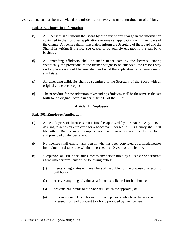<span id="page-11-0"></span>years, the person has been convicted of a misdemeanor involving moral turpitude or of a felony.

## **Rule 213. Change in Information**

- (a) All licensees shall inform the Board by affidavit of any change in the information contained in their original applications or renewal applications within ten days of the change. A licensee shall immediately inform the Secretary of the Board and the Sheriff in writing if the licensee ceases to be actively engaged in the bail bond business.
- (b) All amending affidavits shall be made under oath by the licensee, stating specifically the provisions of the license sought to be amended, the reasons why said application should be amended, and what the application, after amendment, shall state.
- (c) All amending affidavits shall be submitted to the Secretary of the Board with an original and eleven copies.
- (d) The procedure for consideration of amending affidavits shall be the same as that set forth for an original license under Article II, of the Rules.

## **Article Ill. Employees**

## <span id="page-11-2"></span><span id="page-11-1"></span>**Rule 301. Employee Application**

- (a) All employees of licensees must first be approved by the Board. Any person desiring to act as an employee for a bondsman licensed in Ellis County shall first file with the Board a sworn, completed application on a form approved by the Board and provided by the Secretary.
- (b) No licensee shall employ any person who has been convicted of a misdemeanor involving moral turpitude within the preceding 10 years or any felony.
- (c) "Employee" as used in the Rules, means any person hired by a licensee or corporate agent who performs any of the following duties:
	- (1) meets or negotiates with members of the public for the purpose of executing bail bonds;
	- (2) receives anything of value as a fee or as collateral for bail bonds;
	- (3) presents bail bonds to the Sheriff's Office for approval; or
	- (4) interviews or takes information from persons who have been or will be released from jail pursuant to a bond provided by the licensee.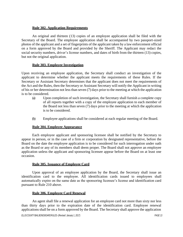## **Rule 302. Application Requirements**

<span id="page-12-0"></span>An original and thirteen (13) copies of an employee application shall be filed with the Secretary of the Board. The employee application shall be accompanied by two passport-sized photos of the applicant and a set of fingerprints of the applicant taken by a law enforcement official on a form approved by the Board and provided by the Sheriff. The Applicant may redact the social security numbers, driver's license numbers, and dates of birth from the thirteen (13) copies, but not the original application.

## **Rule 303. Employee Investigation**

<span id="page-12-1"></span>Upon receiving an employee application, the Secretary shall conduct an investigation of the applicant to determine whether the applicant meets the requirements of these Rules. If the Secretary or Assistant Secretary determines that the applicant does not meet the requirements of the Act and the Rules, then the Secretary or Assistant Secretary will notify the Applicant in writing of his or her determination not less than seven (7) days prior to the meeting at which the application is to be considered.

- (a) Upon completion of such investigation, the Secretary shall furnish a complete copy of all reports together with a copy of the employee application to each member of the Board not less than seven (7) days prior to the meeting at which the application is to be considered.
- (b) Employee applications shall be considered at each regular meeting of the Board.

# **Rule 304. Employee Appearance**

<span id="page-12-2"></span>Each employee applicant and sponsoring licensee shall be notified by the Secretary to appear in person, or in the case of a firm or corporation by designated representative, before the Board on the date the employee application is to be considered for such interrogation under oath as the Board or any of its members shall deem proper. The Board shall not approve an employee application unless the applicant and sponsoring licensee appear before the Board on at least one occasion.

## **Rule 305. Issuance of Employee Card**

<span id="page-12-3"></span>Upon approval of an employee application by the Board, the Secretary shall issue an identification card to the employee. All identification cards issued to employees shall automatically expire on the same date as the sponsoring licensee's license and identification card pursuant to Rule 210 above.

# **Rule 306. Employee Card Renewal**

<span id="page-12-4"></span>An agent shall file a renewal application for an employee card not more than sixty nor less than thirty days prior to the expiration date of the identification card. Employee renewal applications shall be on a form approved by the Board. The Secretary shall approve the application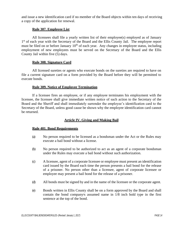and issue a new identification card if no member of the Board objects within ten days of receiving a copy of the application for renewal.

## **Rule 307. Employee List**

<span id="page-13-0"></span>All licensees shall file a yearly written list of their employee(s) employed as of January 1<sup>st</sup> of each year with the Secretary of the Board and the Ellis County Jail. The employee report must be filed on or before January  $10<sup>th</sup>$  of each year. Any changes in employee status, including employment of new employees must be served on the Secretary of the Board and the Ellis County Jail within five (5) days.

# **Rule 308. Signature Card**

<span id="page-13-1"></span>All licensed sureties or agents who execute bonds on the sureties are required to have on file a current signature card on a form provided by the Board before they will be permitted to execute bonds.

#### **Rule 309. Notice of Employee Termination**

<span id="page-13-2"></span>If a licensee fires an employee, or if any employee terminates his employment with the licensee, the licensee shall give immediate written notice of such action to the Secretary of the Board and the Sheriff and shall immediately surrender the employee's identification card to the Secretary of the Board, unless good cause be shown why the employee identification card cannot be returned.

## **Article IV. Giving and Making Bail**

#### <span id="page-13-4"></span><span id="page-13-3"></span>**Rule 401. Bond Requirements**

- (a) No person required to be licensed as a bondsman under the Act or the Rules may execute a bail bond without a license.
- (b) No person required to be authorized to act as an agent of a corporate bondsman under the Rules may execute a bail bond without such authorization.
- (c) A licensee, agent of a corporate licensee or employee must present an identification card issued by the Board each time the person presents a bail bond for the release of a prisoner. No person other than a licensee, agent of corporate licensee or employee may present a bail bond for the release of a prisoner.
- (d) All bonds must be signed by and in the name of the licensee or the corporate agent.
- (e) Bonds written in Ellis County shall be on a form approved by the Board and shall contain the bond company-s assumed name in  $1/8$  inch bold type in the first sentence at the top of the bond.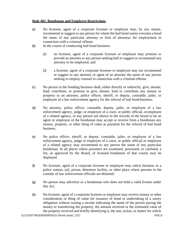## <span id="page-14-0"></span>**Rule 402. Bondsman and Employee Restrictions**

- (a) No licensee, agent of a corporate licensee or employee may, by any means, recommend or suggest to any person for whom the bail bond surety executes a bond the name of any particular attorney or firm of attorneys for employment in connection with a criminal offense.
- (b) In the course of conducting bail bond business:
	- (1) no licensee, agent of a corporate licensee or employee may promise to provide an attorney to any person seeking bail or suggest or recommend any attorney to be employed; and
	- (2) a licensee, agent of a corporate licensee or employee may not recommend or suggest to any attorney or agent of an attorney the name of any person seeking to employ counsel in connection with a criminal offense.
- (c) No person in the bonding business shall, either directly or indirectly, give, donate, lend, contribute, or promise to give, donate, lend or contribute any money or property to an attorney, police officer, sheriff, or deputy, constable, jailer, or employee of a law enforcement agency for the referral of bail bond business.
- (d) No attorney, police officer, constable, deputy, jailer, or employee of a law enforcement agency, judge, or employee of a court, or public official, or employee of a related agency, or any person not shown in the records of the board to be an agent or employee of the bondsman may accept or receive from a bondsman any money, property, or other thing of value as payment for the referral of bail bond business.
- (e) No police officer, sheriff, or deputy, constable, jailer, or employee of a law enforcement agency, judge or employee of a court, or public official or employee of a related agency may recommend to any person the name of any particular bondsman. In all places where prisoners are examined, processed, or confined, a list, as approved by the Board, of licensed bondsmen of that county may be displayed.
- (f) No licensee, agent of a corporate licensee or employee may solicit business in a police station, jail, prison, detention facility, or other place where persons in the custody of law enforcement officials are detained.
- (g) No person may advertise as a bondsman who does not hold a valid license under this Act.
- (h) No licensee, agent of a corporate licensee or employee may receive money or other consideration or thing of value for issuance of bond or undertaking of a surety obligation without issuing a receipt indicating the name of the person paying the money or transferring the property, the amount received or the estimated value of the property received and briefly identifying it, the suit, action, or matter for which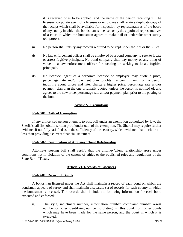it is received or is to be applied, and the name of the person receiving it. The licensee, corporate agent of a licensee or employee shall retain a duplicate copy of the receipt which shall be available for inspection by representatives of the board of any county in which the bondsman is licensed or by the appointed representatives of a court in which the bondsman agrees to make bail or undertake other surety obligations.

- (i) No person shall falsify any records required to be kept under the Act or the Rules.
- (j) No law enforcement officer shall be employed by a bond company to seek to locate or arrest fugitive principals. No bond company shall pay money or any thing of value to a law enforcement officer for locating or seeking to locate fugitive principals.
- (k) No licensee, agent of a corporate licensee or employee may quote a price, percentage rate and/or payment plan to obtain a commitment from a person inquiring about prices and later charge a higher price, percentage rate and/or payment plan than the one originally quoted, unless the person is notified of, and agrees to the new price, percentage rate and/or payment plan prior to the posting of the bond.

# **Article V. Exemptions**

## <span id="page-15-0"></span>**Rule 501. Oath of Exemption**

<span id="page-15-1"></span>If any unlicensed person attempts to post bail under an exemption authorized by law, the Sheriff shall first obtain written proof under oath of the exemption. The Sheriff may require further evidence if not fully satisfied as to the sufficiency of the security, which evidence shall include not less than providing a current financial statement.

# **Rule 502. Certification of Attorney/Client Relationship**

<span id="page-15-2"></span>Attorneys posting bail shall certify that the attorney/client relationship arose under conditions not in violation of the canons of ethics or the published rules and regulations of the State Bar of Texas.

# **Article VI. Records of Licensees**

## <span id="page-15-3"></span>**Rule 601. Record of Bonds**

<span id="page-15-4"></span>A bondsman licensed under the Act shall maintain a record of each bond on which the bondsman appears of surety and shall maintain a separate set of records for each county in which the bondsman is licensed. The records shall include the following information for each bond executed and enforced:

(a) The style, indictment number, information number, complaint number, arrest number or other identifying number to distinguish this bond from other bonds which may have been made for the same person, and the court in which it is executed;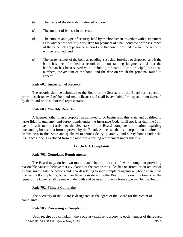- (b) The name of the defendant released on bond;
- (c) The amount of bail set in the case;
- (d) The amount and type of security held by the bondsman, together with a statement as to whether the security was taken for payment of a bail bond fee or for assurance of the principal's appearance in court and the conditions under which the security will be returned; and
- (e) The current status of the bond as pending, set aside, forfeited or disposed, and if the bond has been forfeited, a record of all outstanding judgments nisi that the bondsman has been served with, including the name of the principal, the cause numbers, the amount of the bond, and the date on which the principal failed to appear.

## **Rule 602. Inspection of Records**

<span id="page-16-0"></span>The records shall be submitted to the Board or the Secretary of the Board for inspection prior to each renewal of the bondsman's license and shall be available for inspection on demand by the Board or its authorized representative.

## <span id="page-16-1"></span>**Rule 603. Monthly Reports**

A licensee, other than a corporation admitted to do business in this State and qualified to write fidelity, guaranty, and surety bonds under the Insurance Code, shall not later than the 10th day of each month furnish to the Secretary of the Board complete information regarding outstanding bonds on a form approved by the Board. A licensee that is a corporation admitted to do business in this State and qualified to write fidelity, guaranty, and surety bonds under the Insurance Code is excluded from the monthly reporting requirement under this rule.

# <span id="page-16-2"></span>**Article VII. Complaints**

# **Rule 701. Complaint Requirements**

<span id="page-16-3"></span>The Board may, on its own motion, and shall, on receipt of sworn complaint providing reasonable cause to believe that a violation of the Act or the Rules has occurred, or on request of a court, investigate the actions and records relating to such complaint against any bondsman it has licensed. All complaints, other than those considered by the Board on its own motion or at the request of a Court, shall be made under oath and be in writing on a form approved by the Board.

## **Rule 702. Filing a Complaint**

<span id="page-16-4"></span>The Secretary of the Board is designated as the agent of the Board for the receipt of complaints.

# **Rule 703. Processing a Complaint**

<span id="page-16-5"></span>*ELLISCOUNTYBAILBOND BOARDRULES-(Revised: January 1, 2017) PAGE 17* Upon receipt of a complaint, the Secretary shall send a copy to each member of the Board.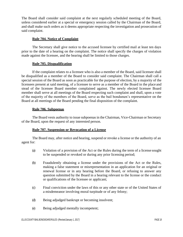The Board shall consider said complaint at the next regularly scheduled meeting of the Board, unless considered earlier at a special or emergency session called by the Chairman of the Board, and shall make such orders as it deems appropriate respecting the investigation and prosecution of said complaint.

#### **Rule 704. Notice of Complaint**

<span id="page-17-0"></span>The Secretary shall give notice to the accused licensee by certified mail at least ten days prior to the date of a hearing on the complaint. The notice shall specify the charges of violation made against the licensee, and the hearing shall be limited to those charges.

## **Rule 705. Disqualification**

<span id="page-17-1"></span>If the complaint relates to a licensee who is also a member of the Board, said licensee shall be disqualified as a member of the Board to consider said complaint. The Chairman shall call a special session of the Board as soon as practicable for the purpose of election, by a majority of the licensees present at said meeting, of a licensee to serve as a member of the Board in the place and stead of the licensee Board member complained against. The newly elected licensee Board member shall serve at all meetings of the Board respecting such complaint and shall, upon a vote of the majority of the members of the Board, serve as the bail bondsmen's representative on the Board at all meetings of the Board pending the final disposition of the complaint.

## **Rule 706. Subpoenas**

<span id="page-17-2"></span>The Board vests authority to issue subpoenas in the Chairman, Vice-Chairman or Secretary of the Board, upon the request of any interested person.

# **Rule 707. Suspension or Revocation of a License**

<span id="page-17-3"></span>The Board may, after notice and hearing, suspend or revoke a license or the authority of an agent for:

- (a) Violation of a provision of the Act or the Rules during the term of a license sought to be suspended or revoked or during any prior licensing period;
- (b) Fraudulently obtaining a license under the provisions of the Act or the Rules, making a false statement or misrepresentation in an application for an original or renewal license or in any hearing before the Board, or refusing to answer any question submitted by the Board in a hearing relevant to the license or the conduct or qualifications of the licensee or applicant;
- (c) Final conviction under the laws of this or any other state or of the United States of a misdemeanor involving moral turpitude or of any felony;
- (d) Being adjudged bankrupt or becoming insolvent;
- (e) Being adjudged mentally incompetent;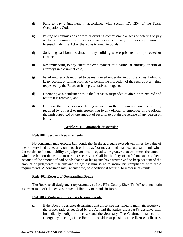- (f) Fails to pay a judgment in accordance with Section 1704.204 of the Texas Occupations Code;
- (g) Paying of commissions or fees or dividing commissions or fees or offering to pay or divide commissions or fees with any person, company, firm, or corporation not licensed under the Act or the Rules to execute bonds;
- (h) Soliciting bail bond business in any building where prisoners are processed or confined;
- (i) Recommending to any client the employment of a particular attorney or firm of attorneys in a criminal case;
- (j) Falsifying records required to be maintained under the Act or the Rules, failing to keep records, or failing promptly to permit the inspection of the records at any time requested by the Board or its representatives or agents;
- (k) Operating as a bondsman while the license is suspended or after it has expired and before it is renewed; and
- (l) On more than one occasion failing to maintain the minimum amount of security required by this Act or misrepresenting to any official or employee of the official the limit supported by the amount of security to obtain the release of any person on bond.

# **Article VIII. Automatic Suspension**

## <span id="page-18-0"></span>**Rule 801. Security Requirements**

<span id="page-18-1"></span>No bondsman may execute bail bonds that in the aggregate exceeds ten times the value of the property held as security on deposit or in trust. Nor may a bondsman execute bail bondswhen the bondsman's total liability on judgments nisi is equal to or greater than two times the amount which he has on deposit or in trust as security. It shall be the duty of each bondsman to keep account of the amount of bail bonds that he or his agents have written and to keep account of the amount of judgments nisi outstanding against him so as to insure his compliance with these requirements. A bondsman may, at any time, post additional security to increase hislimits.

# **Rule 802. Record of Outstanding Bonds**

<span id="page-18-3"></span><span id="page-18-2"></span>The Board shall designate a representative of the Ellis County Sheriff's Office to maintain a current total of all licensees' potential liability on bonds in force.

## **Rule 803. Violation of Security Requirements**

(a) If the Board's designee determines that a licensee has failed to maintain security at the proper ratio as required by the Act and the Rules, the Board's designee shall immediately notify the licensee and the Secretary. The Chairman shall call an emergency meeting of the Board to consider suspension of the licensee's license.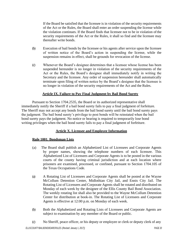If the Board be satisfied that the licensee is in violation of the security requirements of the Act or the Rules, the Board shall enter an order suspending the license while the violation continues. If the Board finds that licensee not to be in violation ofthe security requirements of the Act or the Rules, it shall so find and the licensee may thereafter write bonds.

- (b) Execution of bail bonds by the licensee or his agents after service upon the licensee of written notice of the Board's action in suspending the license, while the suspension remains in effect, shall be grounds for revocation of the license.
- (c) Whenever the Board's designee determines that a licensee whose license has been suspended hereunder is no longer in violation of the security requirements of the Act or the Rules, the Board's designee shall immediately notify in writing the Secretary and the licensee. Any order of suspension hereunder shall automatically terminate upon filing of written notice by the Board's designee that the licensee is no longer in violation of the security requirements of the Act and the Rules.

# **Article IX. Failure to Pay Final Judgment by Bail Bond Surety**

<span id="page-19-0"></span>Pursuant to Section 1704.2535, the Board or its authorized representative shall immediately notify the Sheriff if a bail bond surety fails to pay a final judgment of forfeiture. The Sheriff may not accept any bonds from the bail bond surety until the bail bond surety pays the judgment. The bail bond surety's privilege to post bonds will be reinstated when the bail bond surety pays the judgment. No notice or hearing is required to temporarily lose bond writing privileges when the bail bond surety fails to pay a final judgment of forfeiture.

# **Article X. Licensee and Employee Information**

# <span id="page-19-1"></span>**Rule 1001. Bondsman Lists**

- (a) The Board shall publish an Alphabetized List of Licensees and Corporate Agents by proper names, showing the telephone numbers of each licensee. This Alphabetized List of Licensees and Corporate Agents is to be posted in the various courts of the county having criminal jurisdiction and at each location where prisoners are examined, processed, or confined, pursuant to Section 1704.105 of the Texas Occupations Code.
- (a) A Rotating List of Licensees and Corporate Agents shall be posted at the Wayne McCollum Detention Center, Midlothian City Jail, and Ennis City Jail. The Rotating List of Licensees and Corporate Agents shall be rotated and distributed on Monday of each week by the designee of the Ellis County Bail Bond Association. The weekly rotating list shall also be provided to the Wayne McCollum Detention Center for distribution at book-in. The Rotating List of Licensees and Corporate Agents is effective at 12:00 p.m. on Monday of each week.
- (b) Both the Alphabetized and Rotating Lists of Licensees and Corporate Agents are subject to examination by any member of the Board or public.
- (c) No Sheriff, peace officer, or his deputy or employee or clerk or deputy clerk of any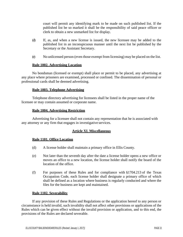court will permit any identifying mark to be made on such published list. If the published list be so marked it shall be the responsibility of said peace officer or clerk to obtain a new unmarked list for display.

- (d) If, as, and when a new license is issued, the new licensee may be added to the published list in an inconspicuous manner until the next list be published by the Secretary or the Assistant Secretary.
- (e) No unlicensed person (even those exempt from licensing) may be placed on the list.

# **Rule 1002. Advertising Location**

<span id="page-20-0"></span>No bondsman (licensed or exempt) shall place or permit to be placed, any advertising at any place where prisoners are examined, processed or confined. The dissemination of personal or professional cards shall be deemed advertising.

## **Rule 1003. Telephone Advertising**

<span id="page-20-1"></span>Telephone directory advertising for licensees shall be listed in the proper name of the licensee or may contain assumed or corporate name.

## **Rule 1004. Advertising Restriction**

<span id="page-20-3"></span><span id="page-20-2"></span>Advertising for a licensee shall not contain any representation that he is associated with any attorney or any firm that engages in investigative services.

# **Article XI. Miscellaneous**

# <span id="page-20-4"></span>**Rule 1101. Office Location**

- (d) A license holder shall maintain a primary office in Ellis County.
- (e) Not later than the seventh day after the date a license holder opens a new office or moves an office to a new location, the license holder shall notify the board of the location of the office.
- (f) For purposes of these Rules and for compliance with  $\S1704.213$  of the Texas Occupation Code, each license holder shall designate a primary office of which shall be defined as a location where business is regularly conducted and where the files for the business are kept and maintained.

# **Rule 1102. Severability**

<span id="page-20-5"></span>If any provision of these Rules and Regulations or the application hereof to any person or circumstance is held invalid, such invalidity shall not affect other provisions or applications of the Rules which can be given effect without the invalid provision or application, and to this end, the provisions of the Rules are declared severable.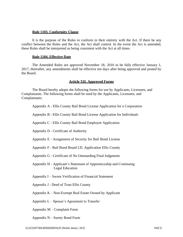## **Rule 1103. Conformity Clause**

<span id="page-21-0"></span>It is the purpose of the Rules to conform in their entirety with the Act. If there be any conflict between the Rules and the Act, the Act shall control. In the event the Act is amended, these Rules shall be interpreted as being consistent with the Act at all times.

## **Rule 1104. Effective Date**

<span id="page-21-1"></span>The Amended Rules are approved November 18, 2016 to be fully effective January 1, 2017, thereafter, any amendments shall be effective ten days after being approved and posted by the Board.

# **Article XII. Approved Forms**

<span id="page-21-2"></span>The Board hereby adopts the following forms for use by Applicants, Licensees, and Complainants. The following forms shall be used by the Applicants, Licensees, and Complainants:

|  | Appendix A - Ellis County Bail Bond License Application for a Corporation |  |
|--|---------------------------------------------------------------------------|--|
|  |                                                                           |  |

Appendix B - Ellis County Bail Bond License Application for Individuals

Appendix C - Ellis County Bail Bond Employee Application

Appendix D - Certificate of Authority

Appendix E - Assignment of Security for Bail Bond License

Appendix F - Bail Bond Board I.D. Application Ellis County

Appendix G - Certificate of No Outstanding Final Judgments

Appendix H - Applicant's Statement of Apprenticeship and Continuing Legal Education

Appendix I – Sworn Verification of Financial Statement

Appendix J - Deed of Trust Ellis County

Appendix K – Non-Exempt Real Estate Owned by Applicant

Appendix L – Spouse's Agreement to Transfer

Appendix M – Complaint Form

Appendix N – Surety Bond Form